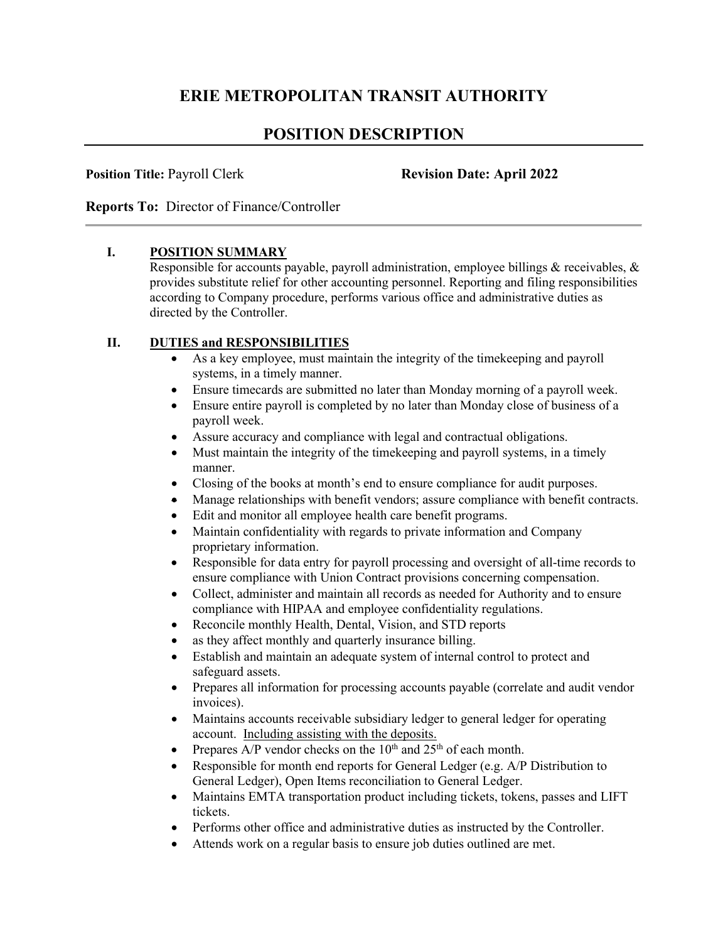# **ERIE METROPOLITAN TRANSIT AUTHORITY**

## **POSITION DESCRIPTION**

**Position Title: Payroll Clerk <b>Revision Date: April 2022** 

**Reports To:** Director of Finance/Controller

### **I. POSITION SUMMARY**

Responsible for accounts payable, payroll administration, employee billings  $\&$  receivables,  $\&$ provides substitute relief for other accounting personnel. Reporting and filing responsibilities according to Company procedure, performs various office and administrative duties as directed by the Controller.

#### **II. DUTIES and RESPONSIBILITIES**

- As a key employee, must maintain the integrity of the time keeping and payroll systems, in a timely manner.
- Ensure timecards are submitted no later than Monday morning of a payroll week.
- Ensure entire payroll is completed by no later than Monday close of business of a payroll week.
- Assure accuracy and compliance with legal and contractual obligations.
- Must maintain the integrity of the timekeeping and payroll systems, in a timely manner.
- Closing of the books at month's end to ensure compliance for audit purposes.
- Manage relationships with benefit vendors; assure compliance with benefit contracts.
- Edit and monitor all employee health care benefit programs.
- Maintain confidentiality with regards to private information and Company proprietary information.
- Responsible for data entry for payroll processing and oversight of all-time records to ensure compliance with Union Contract provisions concerning compensation.
- Collect, administer and maintain all records as needed for Authority and to ensure compliance with HIPAA and employee confidentiality regulations.
- Reconcile monthly Health, Dental, Vision, and STD reports
- as they affect monthly and quarterly insurance billing.
- Establish and maintain an adequate system of internal control to protect and safeguard assets.
- Prepares all information for processing accounts payable (correlate and audit vendor invoices).
- Maintains accounts receivable subsidiary ledger to general ledger for operating account. Including assisting with the deposits.
- Prepares A/P vendor checks on the  $10<sup>th</sup>$  and  $25<sup>th</sup>$  of each month.
- Responsible for month end reports for General Ledger (e.g. A/P Distribution to General Ledger), Open Items reconciliation to General Ledger.
- Maintains EMTA transportation product including tickets, tokens, passes and LIFT tickets.
- Performs other office and administrative duties as instructed by the Controller.
- Attends work on a regular basis to ensure job duties outlined are met.